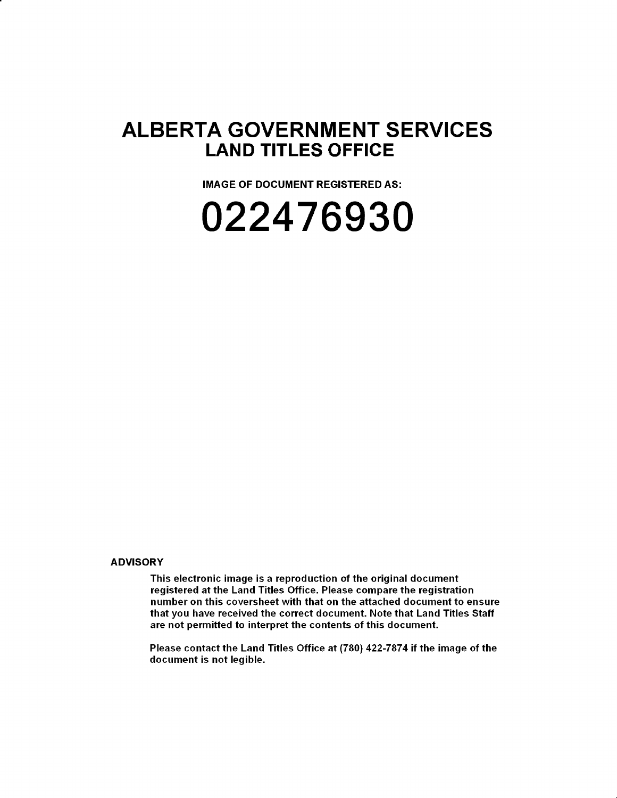### **ALBERTA GOVERNMENT SERVICES LAND TITLES OFFICE**

**IMAGE OF DOCUMENT REGISTERED AS:** 

## **022476930**

#### **ADVISORY**

This electronic image is a reproduction of the original document registered at the Land Titles Office. Please compare the registration number on this coversheet with that on the attached document to ensure that you have received the correct document. Note that Land Titles Staff are not permitted to interpret the contents of this document.

Please contact the Land Titles Office at (780) 422-7874 if the image of the document is not legible.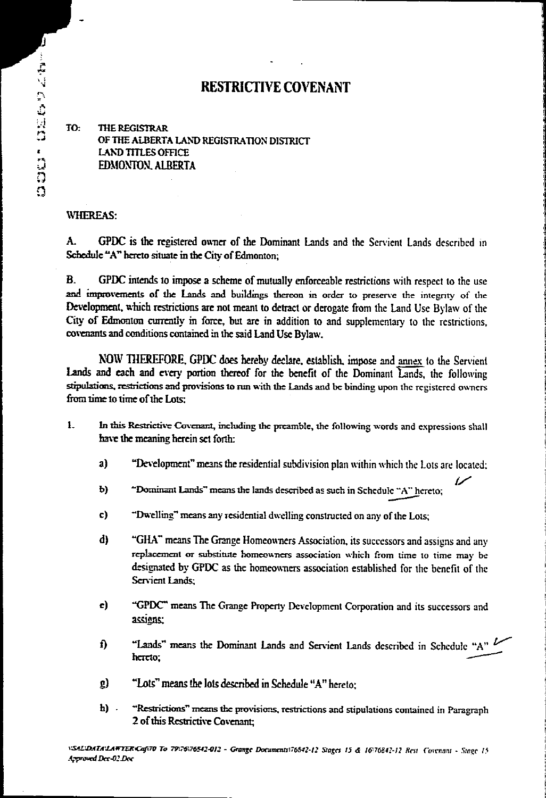#### **RESTRICTIVE COVENANT**

To: **THE REGISTRAR OF THE ALBERTA LAND REGISTRATION DISTRICT LAND TITLES OFFICE EDMONTON. ALBERTA** 

#### **WHEREAS:**

**A. GPDC is the registered owner of the Dominant Lands and the Servient Lands described in Schedule "A" hereto situate in the City of Edmonton;** 

**B. GPDC intends to impose a scheme of mutually enforceable restrictions with respect to the use and improvements of the Lands and buildings thereon in order to preserve the integrity of the**  Development, which restrictions are not meant to detract or derogate from the Land Use Bylaw of the **City of Edmonton currently in force, but are in addition to and supplementary to the restrictions, COVCOIMIS and conditions contained in the said Land Use Bylaw.** 

**NOW 11 a' it ORE. GPDC** does hereby **declare. establish. impose and annex to the Servient**  Lands and each and every portion thereof for the benefit of the Dominant Lands, the following **stipulations, restrictions and provisions to rim with the Lands and be binding upon the registered owners from time to time of the Lots:** 

- **1.. In this Restrictive Covenant, including the preamble, the following words and expressions shall have the meaning herein set forth:** 
	- **a) "Development" means the residential subdivision plan within which the Lots are located;**
	- **b)**  $\sim$   $\sim$  **Dominant Lands** means the lands described as such in Schedule  $\sim$  A" hereto;
	- **c)**  $\rightarrow$  **Dwelling** means any residential dwelling constructed on any of the Lots;
	- **d) "GHA" means The Grange Homeowners Association, its successors and assigns and any**  replacement or substitute homeowners association which from time to time may be **designated by GPDC as the homeowners association established for the benefit of the Servient Lands;**
	- **e) "GPDC" means The Grange Property Development Corporation and its successors and assigns:**
	- **f) "Lands" means the Dominant Lands and Servient Lands described in Schedule "A" hereto;**
	- g) "Lots" means the lots described in Schedule "A" hereto:
	- **13) -Restrictions" means the provisior.s. restrictions and stipulations contained in Paragraph 2 of this Restrictive Covenant;**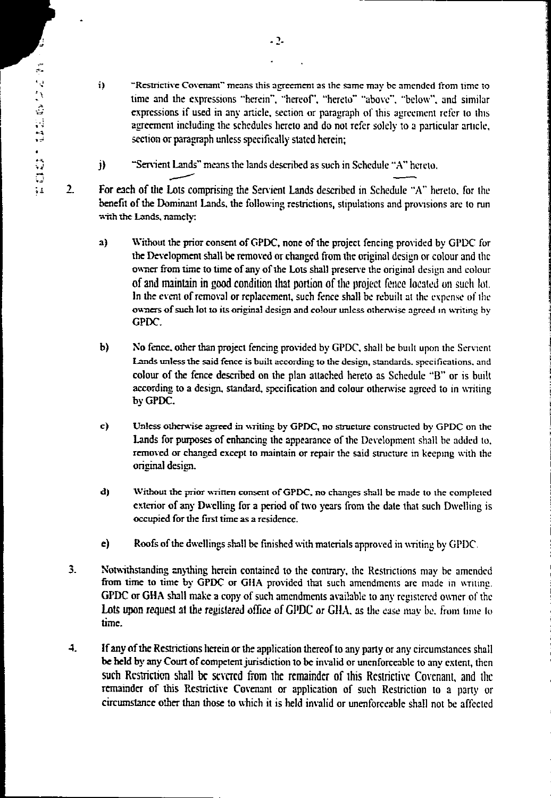$2.$ 

i) - **Restrictive Covenant**" means this agreement as the same may be amended from time to time and the expressions "herein", "hereof', "hereto" "above", "below", and similar expressions if used in any article, section or paragraph of this agreement refer to this agreement including the schedules hereto and do not refer solely to a particular article, section or paragraph unless specifically stated herein;

 $j$ )  $\sim$  "Servient Lands" means the lands described as such in Schedule "A" hereto,

For each of the Lots comprising the Servient Lands described in Schedule "A" hereto, for the benefit of the Dominant Lands, the following restrictions, stipulations and provisions are to run with the Lands, namely:

- a) Without the prior consent of GPDC, none of the project fencing provided by GPDC for the Development shall be removed or changed from the original design or colour and the owner from time to time of any of the Lots shall preserve the original design and colour of and maintain in good condition that portion of the project *fence* located on such kit. In the event of removal or *replacement,* such *fence* shall be rebuilt at the expense of the owners of such lot to its original design and colour unless otherwise agreed in writing by GPDC.
- b) No fence, other than project fencing provided by GPDC, shalt be built upon the Servient Lands unless the said fence is built according to the design, standards, specifications, and colour of the fence described on the plan attached hereto as Schedule **"B"** or is built according to a design, standard, specification and colour otherwise agreed to in writing by GPDC.
- c) Unless otherwise agreed in writing by GPDC, no structure constructed by GPDC on the Lands for purposes of enhancing the appearance of the Development shall be added to. removed or changed except to maintain or repair the said structure in keeping with the original design.
- d) Without the prior written consent of GPDC, no changes shall be made to the completed exterior of any Dwelling for a period of two years from the date that such Dwelling is occupied for the first time as a residence.
- e) Roofs of the dwellings shall be finished with materials approved in writing by GPDC.
- 3. Notwithstanding anything herein contained to the contrary, the Restrictions may he amended from time to time by GPDC or GliA provided that such amendments are made in writing. **GPDC** or GHA shall make a copy of such amendments available to any registered owner of the Lots upon request at the registered office of GPDC or GHA, as the case may be, from time to time.
- **4. if** any of the Restrictions herein or the application thereof to any party or any circumstances shall *be* held by any Court of competent jurisdiction to be invalid or unenforceable to any extent, then such Restriction shall be severed from the remainder of this Restrictive Covenant, and the remainder of this Restrictive Covenant or application of such Restriction to a party or circumstance other than those to which it is held invalid or unenforceable shall not be affected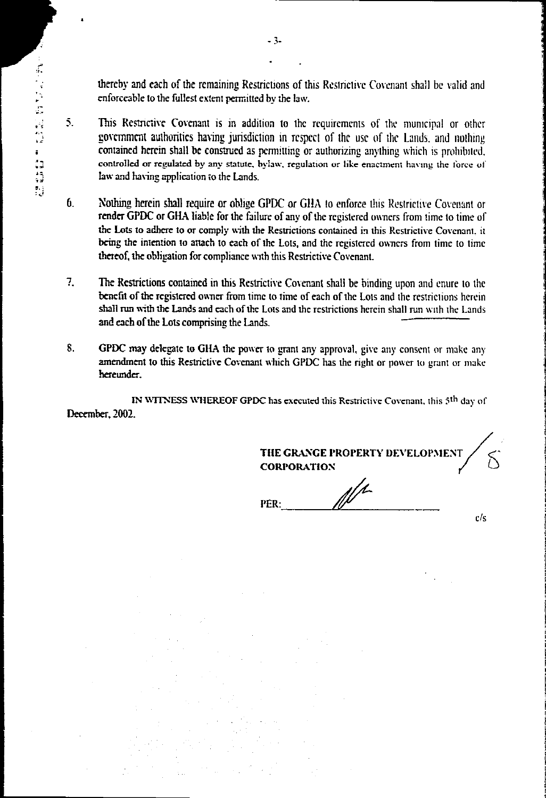thereby and each of the remaining Restrictions of this Restrictive Covenant shall be valid and **enforceable to the fullest extent permitted by the law.** 

- :<br>2 contained to the fullest extent permitted by the law.<br>2 contained as permitted by the law.<br>2 contained herein shall be construed as permitting or authorizing anything which is prohibited.<br>2 contained herein shall be co  $5.$ This Restrictive Covenant is in addition to the requirements of the municipal or other government authorities having jurisdiction in respect of the use of the Lands. and nothing **controlled or regulated by any statute, bylaw. regulation or like enactment having the force of law and having application to the Lands.** 
	- G. Nothing herein shall require or oblige GPDC or GlIA to enforce this Restrictive Covenant or render GPDC or GHA liable for **the failure of any of the registered owners from time to time of the Lots to adhere to or comply with the Restrictions contained in this Restrictive Covenant, it bring the intention to attach to each of the Lots, and the registered owners from time to time thereof, the obligation for compliance with this Restrictive Covenant.**
	- 7. The Restrictions contained in this Restrictive Covenant shall be binding upon and enure to the **benefit of the registered owner from time to time of each of the Lots and the restrictions herein shall rim with the Lands and each of the Lots and the restrictions herein shall run with the Lands and each of the Lots comprising the Lands.**
	- **S. GPDC may delegate to GliA the power to grant any approval, give any consent or make any amendment to this Restrictive Covenant which GPDC has the right or power to grant or make hereunder.**

**IN WITNESS WHEREOF GPDC has executed this Restrictive Covenant, this 5th day of December, 2002.** 

**THE GRANGE PROPERTY DEVELOPMENT CORPORATION**   $\mathbb{N}^{\prime}$ **PER:**   $c/s$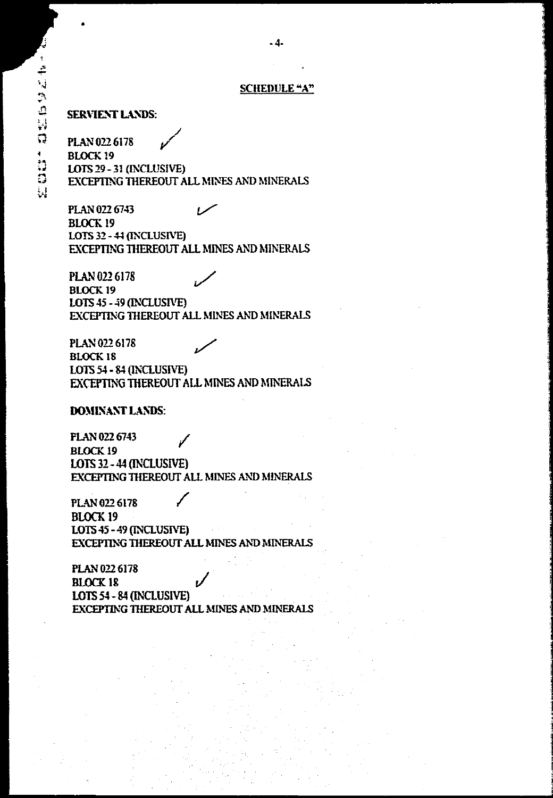#### **SCHEDULE "A"**

**- 4-** 

**SERVIENT LANDS:** 

**PLAN 022 6178 BLOCK 19 LOTS 29 - 31 (INCLUSIVE) EXCEPTING THEREOUT ALL MINES AND MINERALS** 

**PLAN 022 6743 BLOCK 19 LOTS 32 44 (INCLUSIVE) EXCEPTING THEREOUT ALL MINES AND MINERALS** 

**PLAN 022 6178 BLOCK 19 LOTS 45 - 49 (LVCLUSIVE) EXCEPTING THEREOUT ALL MINES AND MINERALS** 

**PLAN 022 6178 BLOCK 18 LOTS 54 - 84 (INCLUSIVE) EXCEPTING THEREOUT ALL MINES AND MINERALS** 

#### **DOMINANT LANDS:**

**FLAN 022 6743 BLOCK 19 LOTS 32 - 41 (INCLUSIVE) EXCEPTING 111EREOUT ALL MINES AND MINERALS** 

**PLAN 022 6178 BLOCK 19 LOTS 45 - 49 (INCLUSIVE) EXCEPTING THEREOUT ALL MINES AND MINERALS** 

**PLAN 022 6178 BLOCK 18 LOTS 54 - 84 (INCLUSIVE) EXCEPTING THEREOUT ALL MINES AND MINERALS**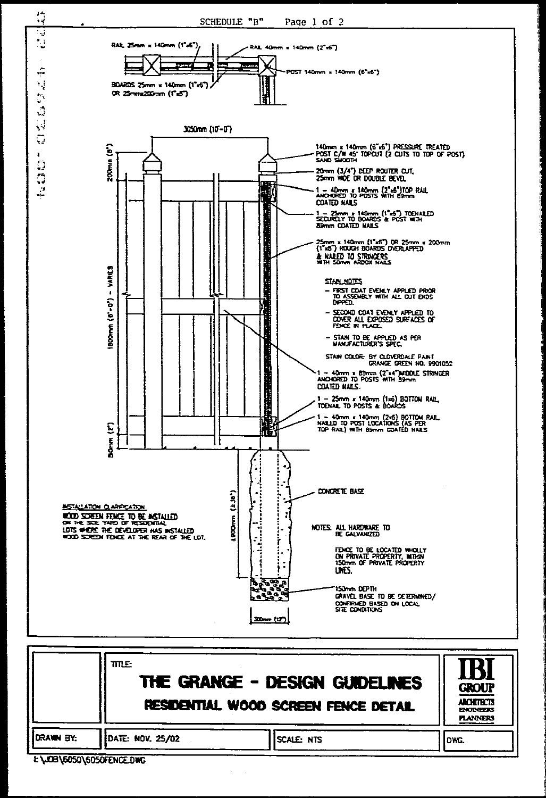

|           | TITLE.<br>THE GRANGE - DESIGN GUIDELINES<br>RESIDENTIAL WOOD SCREEN FENCE DETAIL |             |      |  |
|-----------|----------------------------------------------------------------------------------|-------------|------|--|
| DRAWN BY: | DATE: NOV. 25/02                                                                 | Iscale: nts | DWC. |  |

E\JOB\6050\6050FENCE.DWG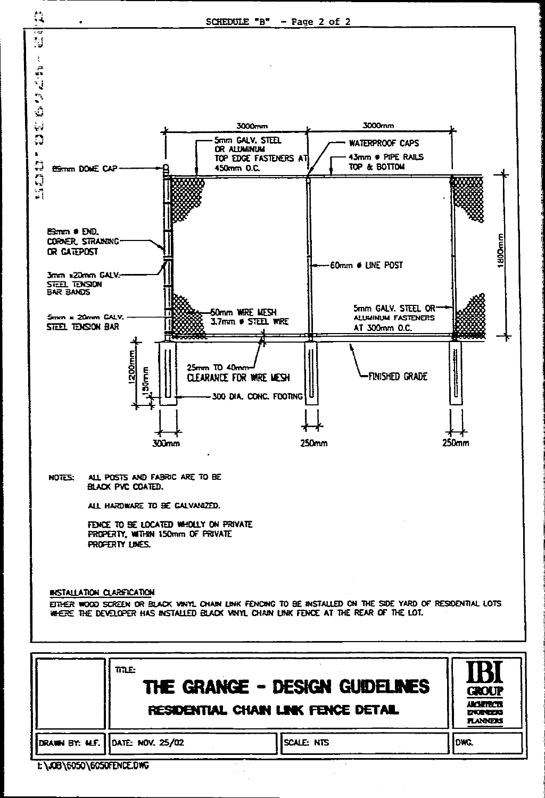

| DRAWN BY: M.F. DATE: NOV. 25/02 |  |  |
|---------------------------------|--|--|

**SCALE: NTS** 

DWG.

E \JOB\6050\6050FENCE.DWG

11